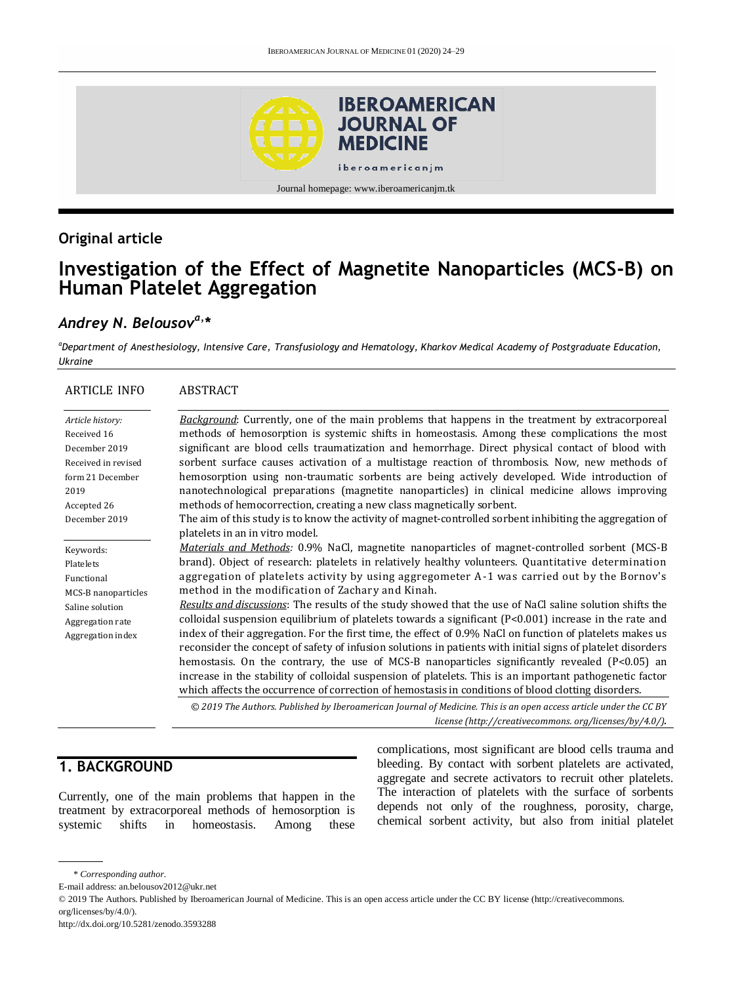

# **Original article**

# **Investigation of the Effect of Magnetite Nanoparticles (MCS-B) on Human Platelet Aggregation**

# *Andrey N. Belousova, \**

*<sup>a</sup>Department of Anesthesiology, Intensive Care, Transfusiology and Hematology, Kharkov Medical Academy of Postgraduate Education, Ukraine*

| <b>ARTICLE INFO</b>                                                                                                                 | <b>ABSTRACT</b>                                                                                                                                                                                                                                                                                                                                                                                                                                                                                                                                                                                                                                                                                                                                                                                                                                                                                                                                                                                                                                                                                                                                                                                                                                                                                                                                            |
|-------------------------------------------------------------------------------------------------------------------------------------|------------------------------------------------------------------------------------------------------------------------------------------------------------------------------------------------------------------------------------------------------------------------------------------------------------------------------------------------------------------------------------------------------------------------------------------------------------------------------------------------------------------------------------------------------------------------------------------------------------------------------------------------------------------------------------------------------------------------------------------------------------------------------------------------------------------------------------------------------------------------------------------------------------------------------------------------------------------------------------------------------------------------------------------------------------------------------------------------------------------------------------------------------------------------------------------------------------------------------------------------------------------------------------------------------------------------------------------------------------|
| Article history:<br>Received 16<br>December 2019<br>Received in revised<br>form 21 December<br>2019<br>Accepted 26<br>December 2019 | <b>Background:</b> Currently, one of the main problems that happens in the treatment by extracorporeal<br>methods of hemosorption is systemic shifts in homeostasis. Among these complications the most<br>significant are blood cells traumatization and hemorrhage. Direct physical contact of blood with<br>sorbent surface causes activation of a multistage reaction of thrombosis. Now, new methods of<br>hemosorption using non-traumatic sorbents are being actively developed. Wide introduction of<br>nanotechnological preparations (magnetite nanoparticles) in clinical medicine allows improving<br>methods of hemocorrection, creating a new class magnetically sorbent.<br>The aim of this study is to know the activity of magnet-controlled sorbent inhibiting the aggregation of                                                                                                                                                                                                                                                                                                                                                                                                                                                                                                                                                        |
| Keywords:<br>Platelets<br>Functional<br>MCS-B nanoparticles<br>Saline solution<br>Aggregation rate<br>Aggregation index             | platelets in an in vitro model.<br><i>Materials and Methods:</i> 0.9% NaCl, magnetite nanoparticles of magnet-controlled sorbent (MCS-B)<br>brand). Object of research: platelets in relatively healthy volunteers. Quantitative determination<br>aggregation of platelets activity by using aggregometer A-1 was carried out by the Bornov's<br>method in the modification of Zachary and Kinah.<br>Results and discussions: The results of the study showed that the use of NaCl saline solution shifts the<br>colloidal suspension equilibrium of platelets towards a significant (P<0.001) increase in the rate and<br>index of their aggregation. For the first time, the effect of 0.9% NaCl on function of platelets makes us<br>reconsider the concept of safety of infusion solutions in patients with initial signs of platelet disorders<br>hemostasis. On the contrary, the use of MCS-B nanoparticles significantly revealed $(P<0.05)$ an<br>increase in the stability of colloidal suspension of platelets. This is an important pathogenetic factor<br>which affects the occurrence of correction of hemostasis in conditions of blood clotting disorders.<br>© 2019 The Authors. Published by Iberoamerican Journal of Medicine. This is an open access article under the CC BY<br>license (http://creativecommons.org/licenses/by/4.0/). |

# **1. BACKGROUND**

Currently, one of the main problems that happen in the treatment by extracorporeal methods of hemosorption is systemic shifts in homeostasis. Among these complications, most significant are blood cells trauma and bleeding. By contact with sorbent platelets are activated, aggregate and secrete activators to recruit other platelets. The interaction of platelets with the surface of sorbents depends not only of the roughness, porosity, charge, chemical sorbent activity, but also from initial platelet

<sup>\*</sup> *Corresponding author.*

E-mail address: an.belousov2012@ukr.net

<sup>© 2019</sup> The Authors. Published by Iberoamerican Journal of Medicine. This is an open access article under the CC BY license (http://creativecommons. org/licenses/by/4.0/).

http://dx.doi.org/10.5281/zenodo.3593288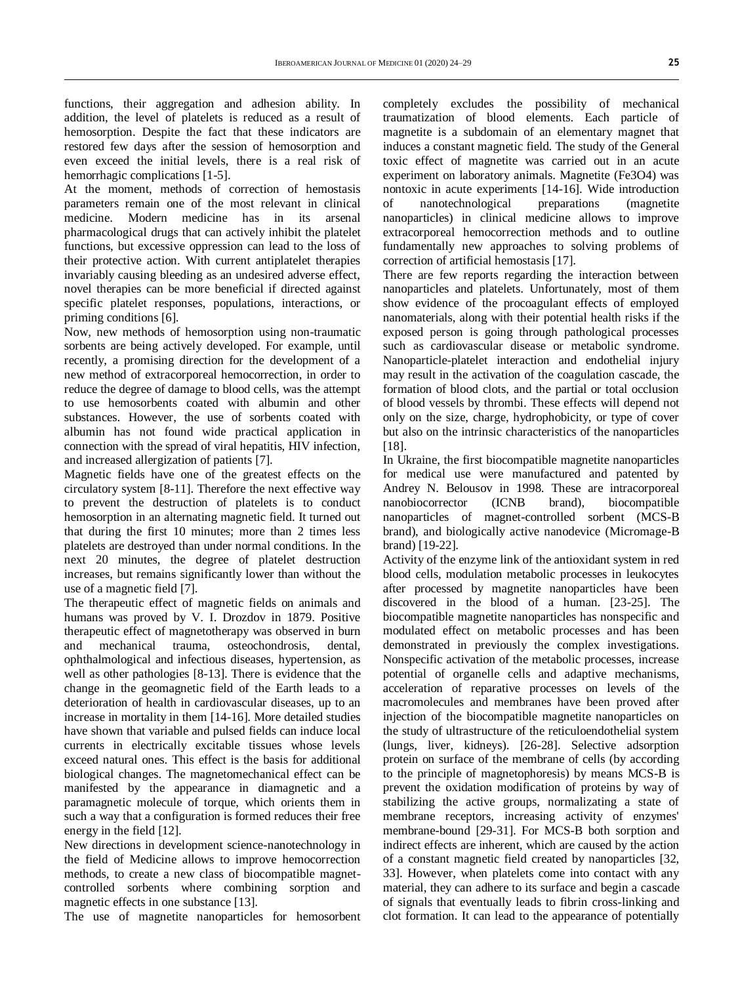functions, their aggregation and adhesion ability. In addition, the level of platelets is reduced as a result of hemosorption. Despite the fact that these indicators are restored few days after the session of hemosorption and even exceed the initial levels, there is a real risk of hemorrhagic complications [1-5].

At the moment, methods of correction of hemostasis parameters remain one of the most relevant in clinical medicine. Modern medicine has in its arsenal pharmacological drugs that can actively inhibit the platelet functions, but excessive oppression can lead to the loss of their protective action. With current antiplatelet therapies invariably causing bleeding as an undesired adverse effect, novel therapies can be more beneficial if directed against specific platelet responses, populations, interactions, or priming conditions [6].

Now, new methods of hemosorption using non-traumatic sorbents are being actively developed. For example, until recently, a promising direction for the development of a new method of extracorporeal hemocorrection, in order to reduce the degree of damage to blood cells, was the attempt to use hemosorbents coated with albumin and other substances. However, the use of sorbents coated with albumin has not found wide practical application in connection with the spread of viral hepatitis, HIV infection, and increased allergization of patients [7].

Magnetic fields have one of the greatest effects on the circulatory system [8-11]. Therefore the next effective way to prevent the destruction of platelets is to conduct hemosorption in an alternating magnetic field. It turned out that during the first 10 minutes; more than 2 times less platelets are destroyed than under normal conditions. In the next 20 minutes, the degree of platelet destruction increases, but remains significantly lower than without the use of a magnetic field [7].

The therapeutic effect of magnetic fields on animals and humans was proved by V. I. Drozdov in 1879. Positive therapeutic effect of magnetotherapy was observed in burn and mechanical trauma, osteochondrosis, dental, ophthalmological and infectious diseases, hypertension, as well as other pathologies [8-13]. There is evidence that the change in the geomagnetic field of the Earth leads to a deterioration of health in cardiovascular diseases, up to an increase in mortality in them [14-16]. More detailed studies have shown that variable and pulsed fields can induce local currents in electrically excitable tissues whose levels exceed natural ones. This effect is the basis for additional biological changes. The magnetomechanical effect can be manifested by the appearance in diamagnetic and a paramagnetic molecule of torque, which orients them in such a way that a configuration is formed reduces their free energy in the field [12].

New directions in development science-nanotechnology in the field of Medicine allows to improve hemocorrection methods, to create a new class of biocompatible magnetcontrolled sorbents where combining sorption and magnetic effects in one substance [13].

The use of magnetite nanoparticles for hemosorbent

completely excludes the possibility of mechanical traumatization of blood elements. Each particle of magnetite is a subdomain of an elementary magnet that induces a constant magnetic field. The study of the General toxic effect of magnetite was carried out in an acute experiment on laboratory animals. Magnetite (Fe3O4) was nontoxic in acute experiments [14-16]. Wide introduction of nanotechnological preparations (magnetite nanoparticles) in clinical medicine allows to improve extracorporeal hemocorrection methods and to outline fundamentally new approaches to solving problems of correction of artificial hemostasis [17].

There are few reports regarding the interaction between nanoparticles and platelets. Unfortunately, most of them show evidence of the procoagulant effects of employed nanomaterials, along with their potential health risks if the exposed person is going through pathological processes such as cardiovascular disease or metabolic syndrome. Nanoparticle-platelet interaction and endothelial injury may result in the activation of the coagulation cascade, the formation of blood clots, and the partial or total occlusion of blood vessels by thrombi. These effects will depend not only on the size, charge, hydrophobicity, or type of cover but also on the intrinsic characteristics of the nanoparticles [18].

In Ukraine, the first biocompatible magnetite nanoparticles for medical use were manufactured and patented by Andrey N. Belousov in 1998. These are intracorporeal nanobiocorrector (ICNB brand), biocompatible nanoparticles of magnet-controlled sorbent (MCS-B brand), and biologically active nanodevice (Micromage-B brand) [19-22].

Activity of the enzyme link of the antioxidant system in red blood cells, modulation metabolic processes in leukocytes after processed by magnetite nanoparticles have been discovered in the blood of a human. [23-25]. The biocompatible magnetite nanoparticles has nonspecific and modulated effect on metabolic processes and has been demonstrated in previously the complex investigations. Nonspecific activation of the metabolic processes, increase potential of organelle cells and adaptive mechanisms, acceleration of reparative processes on levels of the macromolecules and membranes have been proved after injection of the biocompatible magnetite nanoparticles on the study of ultrastructure of the reticuloendothelial system (lungs, liver, kidneys). [26-28]. Selective adsorption protein on surface of the membrane of cells (by according to the principle of magnetophoresis) by means MCS-B is prevent the oxidation modification of proteins by way of stabilizing the active groups, normalizating a state of membrane receptors, increasing activity of enzymes' membrane-bound [29-31]. For MCS-B both sorption and indirect effects are inherent, which are caused by the action of a constant magnetic field created by nanoparticles [32, 33]. However, when platelets come into contact with any material, they can adhere to its surface and begin a cascade of signals that eventually leads to fibrin cross-linking and clot formation. It can lead to the appearance of potentially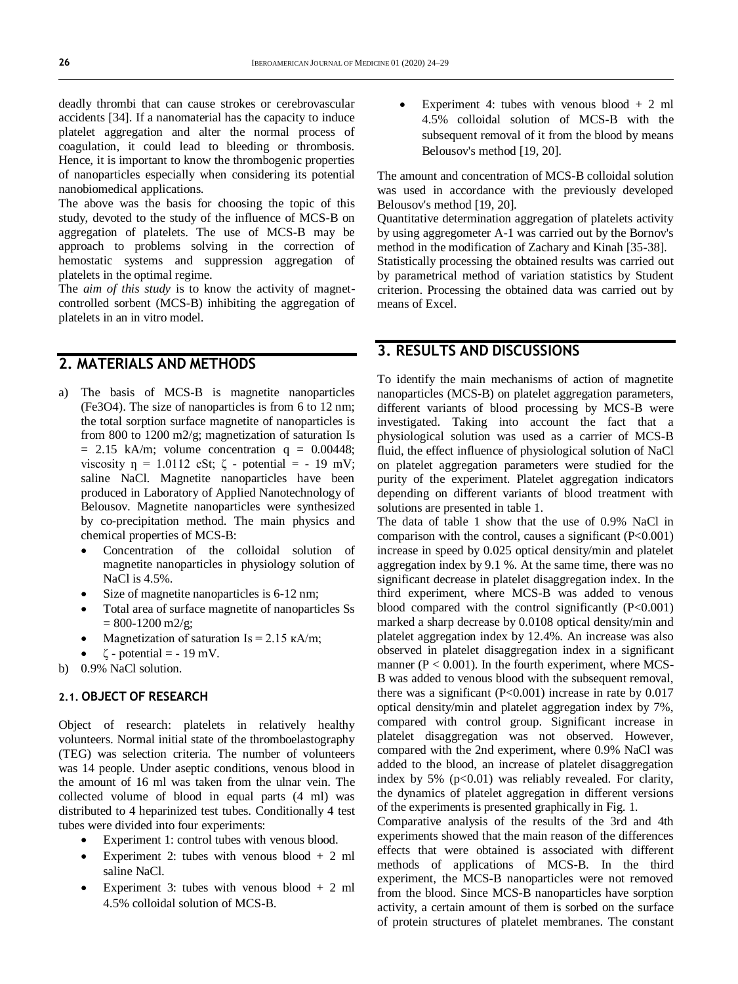deadly thrombi that can cause strokes or cerebrovascular accidents [34]. If a nanomaterial has the capacity to induce platelet aggregation and alter the normal process of coagulation, it could lead to bleeding or thrombosis. Hence, it is important to know the thrombogenic properties of nanoparticles especially when considering its potential nanobiomedical applications.

The above was the basis for choosing the topic of this study, devoted to the study of the influence of MCS-B on aggregation of platelets. The use of MCS-B may be approach to problems solving in the correction of hemostatic systems and suppression aggregation of platelets in the optimal regime.

The *aim of this study* is to know the activity of magnetcontrolled sorbent (MCS-B) inhibiting the aggregation of platelets in an in vitro model.

### **2. MATERIALS AND METHODS**

- a) The basis of MCS-B is magnetite nanoparticles (Fe3O4). The size of nanoparticles is from 6 to 12 nm; the total sorption surface magnetite of nanoparticles is from 800 to 1200 m2/g; magnetization of saturation Is  $= 2.15$  kA/m; volume concentration  $q = 0.00448$ ; viscosity  $\eta = 1.0112$  cSt;  $\zeta$  - potential = - 19 mV; saline NaCl. Magnetite nanoparticles have been produced in Laboratory of Applied Nanotechnology of Belousov. Magnetite nanoparticles were synthesized by co-precipitation method. The main physics and chemical properties of MCS-B:
	- Concentration of the colloidal solution of magnetite nanoparticles in physiology solution of NaCl is  $4.5\%$ .
	- Size of magnetite nanoparticles is 6-12 nm;
	- Total area of surface magnetite of nanoparticles Ss  $= 800 - 1200$  m2/g;
	- Magnetization of saturation  $Is = 2.15 \text{ kA/m}$ ;
	- ζ potential = 19 mV.
- b) 0.9% NaCl solution.

#### **2.1. OBJECT OF RESEARCH**

Object of research: platelets in relatively healthy volunteers. Normal initial state of the thromboelastography (TEG) was selection criteria. The number of volunteers was 14 people. Under aseptic conditions, venous blood in the amount of 16 ml was taken from the ulnar vein. The collected volume of blood in equal parts (4 ml) was distributed to 4 heparinized test tubes. Conditionally 4 test tubes were divided into four experiments:

- Experiment 1: control tubes with venous blood.
- Experiment 2: tubes with venous blood  $+ 2$  ml saline NaCl.
- Experiment 3: tubes with venous blood + 2 ml 4.5% colloidal solution of MCS-B.

 Experiment 4: tubes with venous blood + 2 ml 4.5% colloidal solution of MCS-B with the subsequent removal of it from the blood by means Belousov's method [19, 20].

The amount and concentration of MCS-B colloidal solution was used in accordance with the previously developed Belousov's method [19, 20].

Quantitative determination aggregation of platelets activity by using aggregometer A-1 was carried out by the Bornov's method in the modification of Zachary and Kinah [35-38]. Statistically processing the obtained results was carried out by parametrical method of variation statistics by Student criterion. Processing the obtained data was carried out by means of Excel.

# **3. RESULTS AND DISCUSSIONS**

To identify the main mechanisms of action of magnetite nanoparticles (MCS-B) on platelet aggregation parameters, different variants of blood processing by MCS-B were investigated. Taking into account the fact that a physiological solution was used as a carrier of MCS-B fluid, the effect influence of physiological solution of NaCl on platelet aggregation parameters were studied for the purity of the experiment. Platelet aggregation indicators depending on different variants of blood treatment with solutions are presented in table 1.

The data of table 1 show that the use of 0.9% NaCl in comparison with the control, causes a significant  $(P<0.001)$ increase in speed by 0.025 optical density/min and platelet aggregation index by 9.1 %. At the same time, there was no significant decrease in platelet disaggregation index. In the third experiment, where MCS-B was added to venous blood compared with the control significantly  $(P<0.001)$ marked a sharp decrease by 0.0108 optical density/min and platelet aggregation index by 12.4%. An increase was also observed in platelet disaggregation index in a significant manner ( $P < 0.001$ ). In the fourth experiment, where MCS-B was added to venous blood with the subsequent removal, there was a significant ( $P < 0.001$ ) increase in rate by 0.017 optical density/min and platelet aggregation index by 7%, compared with control group. Significant increase in platelet disaggregation was not observed. However, compared with the 2nd experiment, where 0.9% NaCl was added to the blood, an increase of platelet disaggregation index by 5%  $(p<0.01)$  was reliably revealed. For clarity, the dynamics of platelet aggregation in different versions of the experiments is presented graphically in Fig. 1.

Comparative analysis of the results of the 3rd and 4th experiments showed that the main reason of the differences effects that were obtained is associated with different methods of applications of MCS-B. In the third experiment, the MCS-B nanoparticles were not removed from the blood. Since MCS-B nanoparticles have sorption activity, a certain amount of them is sorbed on the surface of protein structures of platelet membranes. The constant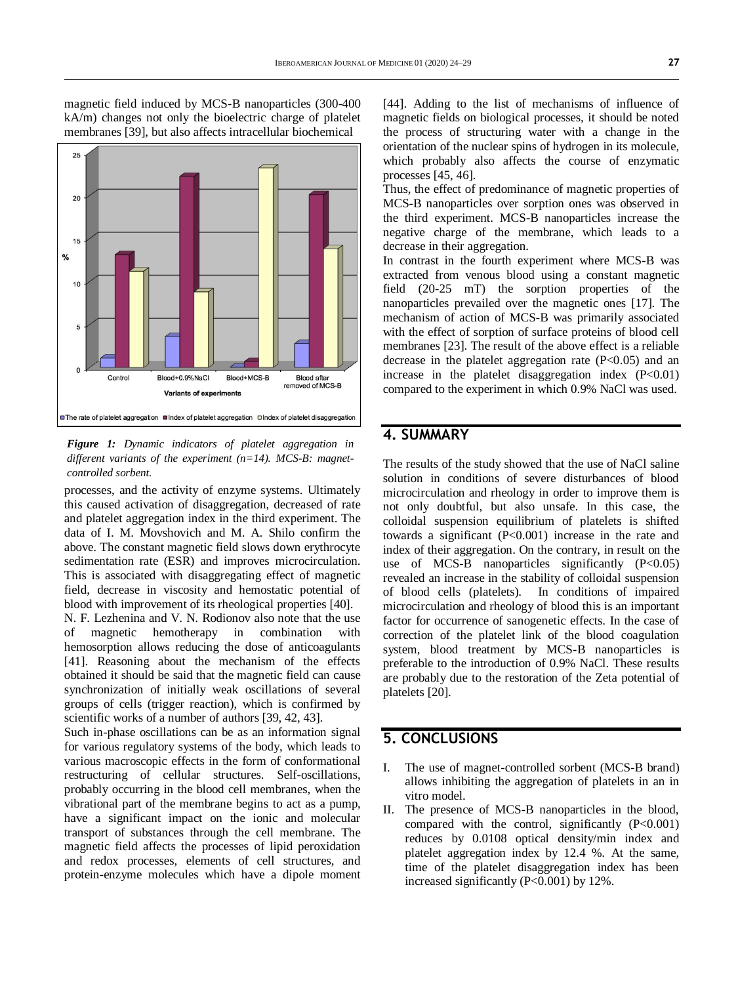

magnetic field induced by MCS-B nanoparticles (300-400 kA/m) changes not only the bioelectric charge of platelet membranes [39], but also affects intracellular biochemical

*Figure 1: Dynamic indicators of platelet aggregation in different variants of the experiment (n=14). MCS-B: magnetcontrolled sorbent.*

processes, and the activity of enzyme systems. Ultimately this caused activation of disaggregation, decreased of rate and platelet aggregation index in the third experiment. The data of I. M. Movshovich and M. A. Shilo confirm the above. The constant magnetic field slows down erythrocyte sedimentation rate (ESR) and improves microcirculation. This is associated with disaggregating effect of magnetic field, decrease in viscosity and hemostatic potential of blood with improvement of its rheological properties [40].

N. F. Lezhenina and V. N. Rodionov also note that the use of magnetic hemotherapy in combination with hemosorption allows reducing the dose of anticoagulants [41]. Reasoning about the mechanism of the effects obtained it should be said that the magnetic field can cause synchronization of initially weak oscillations of several groups of cells (trigger reaction), which is confirmed by scientific works of a number of authors [39, 42, 43].

Such in-phase oscillations can be as an information signal for various regulatory systems of the body, which leads to various macroscopic effects in the form of conformational restructuring of cellular structures. Self-oscillations, probably occurring in the blood cell membranes, when the vibrational part of the membrane begins to act as a pump, have a significant impact on the ionic and molecular transport of substances through the cell membrane. The magnetic field affects the processes of lipid peroxidation and redox processes, elements of cell structures, and protein-enzyme molecules which have a dipole moment

[44]. Adding to the list of mechanisms of influence of magnetic fields on biological processes, it should be noted the process of structuring water with a change in the orientation of the nuclear spins of hydrogen in its molecule, which probably also affects the course of enzymatic processes [45, 46].

Thus, the effect of predominance of magnetic properties of MCS-B nanoparticles over sorption ones was observed in the third experiment. MCS-B nanoparticles increase the negative charge of the membrane, which leads to a decrease in their aggregation.

In contrast in the fourth experiment where MCS-B was extracted from venous blood using a constant magnetic field (20-25 mT) the sorption properties of the nanoparticles prevailed over the magnetic ones [17]. The mechanism of action of MCS-B was primarily associated with the effect of sorption of surface proteins of blood cell membranes [23]. The result of the above effect is a reliable decrease in the platelet aggregation rate  $(P<0.05)$  and an increase in the platelet disaggregation index  $(P<0.01)$ compared to the experiment in which 0.9% NaCl was used.

### **4. SUMMARY**

The results of the study showed that the use of NaCl saline solution in conditions of severe disturbances of blood microcirculation and rheology in order to improve them is not only doubtful, but also unsafe. In this case, the colloidal suspension equilibrium of platelets is shifted towards a significant (P<0.001) increase in the rate and index of their aggregation. On the contrary, in result on the use of MCS-B nanoparticles significantly  $(P<0.05)$ revealed an increase in the stability of colloidal suspension of blood cells (platelets). In conditions of impaired microcirculation and rheology of blood this is an important factor for occurrence of sanogenetic effects. In the case of correction of the platelet link of the blood coagulation system, blood treatment by MCS-B nanoparticles is preferable to the introduction of 0.9% NaCl. These results are probably due to the restoration of the Zeta potential of platelets [20].

### **5. CONCLUSIONS**

- I. The use of magnet-controlled sorbent (MCS-B brand) allows inhibiting the aggregation of platelets in an in vitro model.
- II. The presence of MCS-B nanoparticles in the blood, compared with the control, significantly  $(P<0.001)$ reduces by 0.0108 optical density/min index and platelet aggregation index by 12.4 %. At the same, time of the platelet disaggregation index has been increased significantly (P<0.001) by 12%.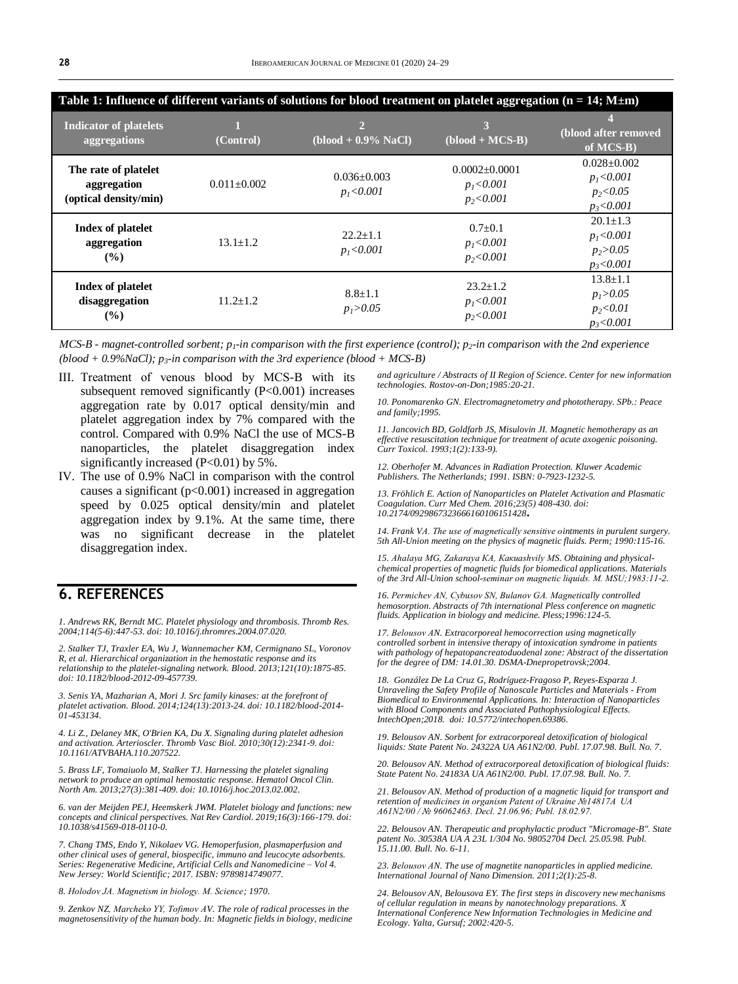| Table 1: Influence of different variants of solutions for blood treatment on platelet aggregation ( $n = 14$ ; $M \pm m$ ) |                   |                                  |                                                     |                                                                   |  |
|----------------------------------------------------------------------------------------------------------------------------|-------------------|----------------------------------|-----------------------------------------------------|-------------------------------------------------------------------|--|
| <b>Indicator of platelets</b><br>aggregations                                                                              | (Control)         | $(blood + 0.9\%$ NaCl)           | 3<br>$\overline{(blood + MCS-B)}$                   | (blood after removed<br>of MCS-B)                                 |  |
| The rate of platelet<br>aggregation<br>(optical density/min)                                                               | $0.011 \pm 0.002$ | $0.036 + 0.003$<br>$p_1 < 0.001$ | $0.0002 \pm 0.0001$<br>$p_1 < 0.001$<br>$p_2<0.001$ | $0.028 \pm 0.002$<br>$p_1 < 0.001$<br>$p_2 < 0.05$<br>$p_3<0.001$ |  |
| Index of platelet<br>aggregation<br>(%)                                                                                    | $13.1 \pm 1.2$    | $22.2+1.1$<br>$p_1 < 0.001$      | $0.7 \pm 0.1$<br>$p_1 < 0.001$<br>$p_2 < 0.001$     | $20.1 \pm 1.3$<br>$p_1 < 0.001$<br>$p_2 > 0.05$<br>$p_3<0.001$    |  |
| Index of platelet<br>disaggregation<br>$(\%)$                                                                              | $11.2 \pm 1.2$    | $8.8 \pm 1.1$<br>$p_1 > 0.05$    | $23.2 \pm 1.2$<br>$p_1 < 0.001$<br>$p_2<0.001$      | $13.8 \pm 1.1$<br>$p_1 > 0.05$<br>$p_2 < 0.01$<br>$p_3<0.001$     |  |

*MCS-B - magnet-controlled sorbent; p1-in comparison with the first experience (control); p2-in comparison with the 2nd experience (blood + 0.9%NaCl); p3-in comparison with the 3rd experience (blood + MCS-B)*

- III. Treatment of venous blood by MСS-B with its subsequent removed significantly (P<0.001) increases aggregation rate by 0.017 optical density/min and platelet aggregation index by 7% compared with the control. Compared with 0.9% NaCl the use of MCS-B nanoparticles, the platelet disaggregation index significantly increased  $(P<0.01)$  by 5%.
- IV. The use of 0.9% NaCl in comparison with the control causes a significant ( $p<0.001$ ) increased in aggregation speed by 0.025 optical density/min and platelet aggregation index by 9.1%. At the same time, there was no significant decrease in the platelet disaggregation index.

### **6. REFERENCES**

*1. Andrews RK, Berndt MC. Platelet physiology and thrombosis. Thromb Res. 2004;114(5-6):447-53. doi[: 10.1016/j.thromres.2004.07.020.](https://doi.org/10.1016/j.thromres.2004.07.020)*

*2. Stalker TJ, Traxler EA, Wu J, Wannemacher KM, Cermignano SL, Voronov R, et al. Hierarchical organization in the hemostatic response and its relationship to the platelet-signaling network. Blood. 2013;121(10):1875-85. doi[: 10.1182/blood-2012-09-457739.](https://doi.org/10.1182/blood-2012-09-457739)*

*3. Senis YA, Mazharian A, Mori J. Src family kinases: at the forefront of platelet activation. Blood. 2014;124(13):2013-24. doi[: 10.1182/blood-2014-](10.1182/blood-2014-01-453134) [01-453134.](10.1182/blood-2014-01-453134)*

*4. Li Z., Delaney MK, O'Brien KA, Du X. Signaling during platelet adhesion and activation. Arterioscler. Thromb Vasc Biol. 2010;30(12):2341-9. doi: [10.1161/ATVBAHA.110.207522.](https://doi.org/10.1161/ATVBAHA.110.207522)*

*5. Brass LF, Tomaiuolo M, Stalker TJ. Harnessing the platelet signaling network to produce an optimal hemostatic response. Hematol Oncol Clin. North Am. 2013;27(3):381-409. doi[: 10.1016/j.hoc.2013.02.002.](https://doi.org/10.1016/j.hoc.2013.02.002)*

*6. van der Meijden PEJ, Heemskerk JWM. Platelet biology and functions: new concepts and clinical perspectives. Nat Rev Cardiol. 2019;16(3):166-179. doi: [10.1038/s41569-018-0110-0.](10.1038/s41569-018-0110-0)*

*7. Chang TMS, Endo Y, Nikolaev VG. Hemoperfusion, plasmaperfusion and other clinical uses of general, biospecific, immuno and leucocyte adsorbents. Series: Regenerative Medicine, Artificial Cells and Nanomedicine – Vol 4. New Jersey: World Scientific; 2017. ISBN: 9789814749077.*

*8. Holodov JA. Magnetism in biology. М. Science; 1970.* 

*9. Zenkov NZ, Маrcheko YY, Тоfimov АV. The role of radical processes in the magnetosensitivity of the human body. In: Magnetic fields in biology, medicine*  *and agriculture / Abstracts of II Region of Science. Center for new information technologies. Rostov-on-Don;1985:20-21.* 

*10. Ponomarenko GN. Electromagnetometry and phototherapy. SPb.: Peace and family;1995.* 

*11. Jancovich BD, Goldfarb JS, Misulovin JI. Magnetic hemotherapy as an effective resuscitation technique for treatment of acute axogenic poisoning. Curr Toxicol. 1993;1(2):133-9).*

*12. Oberhofer M. Advances in Radiation Protection. Kluwer Academic Publishers. The Netherlands; 1991. ISBN: 0-7923-1232-5.*

*13. Fröhlich E. Action of Nanoparticles on Platelet Activation and Plasmatic Coagulation. Curr Med Chem. 2016;23(5) 408-430. doi: [10.2174/0929867323666160106151428](https://doi.org/10.2174/0929867323666160106151428)***.**

*14. Frank VА. The use of magnetically sensitive ointments in purulent surgery. 5th All-Union meeting on the physics of magnetic fluids. Perm; 1990:115-16.*

*15. Аhalaya МG, Zakaraya КА, Какиаshvily МS. Obtaining and physicalchemical properties of magnetic fluids for biomedical applications. Materials of the 3rd All-Union school-seminar on magnetic liquids. М. МSU;1983:11-2.*

*16. Permichev АN, Cybusov SN, Bulanov GА. Magnetically controlled hemosorption. Abstracts of 7th international Pless conference on magnetic fluids. Application in biology and medicine. Pless;1996:124-5.*

*17. Belousov АN. Extracorporeal hemocorrection using magnetically controlled sorbent in intensive therapy of intoxication syndrome in patients with pathology of hepatopancreatoduodenal zone: Abstract of the dissertation for the degree of DM: 14.01.30. DSMA-Dnepropetrovsk;2004.*

*18. González De La Cruz G, Rodríguez-Fragoso P, Reyes-Esparza J. Unraveling the Safety Profile of Nanoscale Particles and Materials - From Biomedical to Environmental Applications. In: Interaction of Nanoparticles with Blood Components and Associated Pathophysiological Effects. IntechOpen;2018. doi[: 10.5772/intechopen.69386.](https://www.intechopen.com/books/unraveling-the-safety-profile-of-nanoscale-particles-and-materials-from-biomedical-to-environmental-applications/interaction-of-nanoparticles-with-blood-components-and-associated-pathophysiological-effects)*

*19. Belousov AN. Sorbent for extracorporeal detoxification of biological liquids: State Patent No. 24322A UA A61N2/00. Publ. 17.07.98. Bull. No. 7.*

*20. Belousov AN. Method of extracorporeal detoxification of biological fluids: State Patent No. 24183A UA A61N2/00. Publ. 17.07.98. Bull. No. 7.*

*21. Belousov AN. Method of production of a magnetic liquid for transport and retention of medicines in organism Patent of Ukraine №14817А UA A61N2/00 / № 96062463. Decl. 21.06.96; Publ. 18.02.97.*

*22. Belousov AN. Therapeutic and prophylactic product "Micromage-B". State patent No. 30538A UA A 23L 1/304 No. 98052704 Decl. 25.05.98. Publ. 15.11.00. Bull. No. 6-11.*

*23. Belousov АN. The use of magnetite nanoparticles in applied medicine. International Journal of Nano Dimension. 2011;2(1):25-8.* 

*24. Belousov AN, Belousova EY. The first steps in discovery new mechanisms of cellular regulation in means by nanotechnology preparations. X International Conference New Information Technologies in Medicine and Ecology. Yalta, Gursuf; 2002:420-5.*